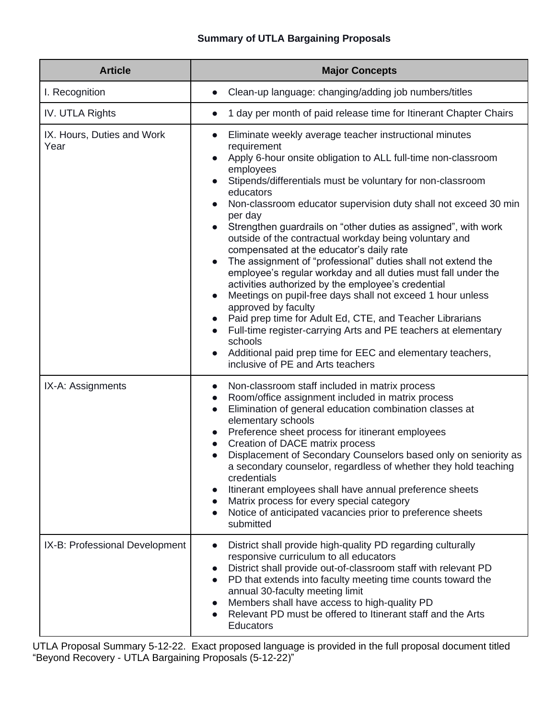## **Summary of UTLA Bargaining Proposals**

| <b>Article</b>                     | <b>Major Concepts</b>                                                                                                                                                                                                                                                                                                                                                                                                                                                                                                                                                                                                                                                                                                                                                                                                                                                                                                                                                                                                     |
|------------------------------------|---------------------------------------------------------------------------------------------------------------------------------------------------------------------------------------------------------------------------------------------------------------------------------------------------------------------------------------------------------------------------------------------------------------------------------------------------------------------------------------------------------------------------------------------------------------------------------------------------------------------------------------------------------------------------------------------------------------------------------------------------------------------------------------------------------------------------------------------------------------------------------------------------------------------------------------------------------------------------------------------------------------------------|
| I. Recognition                     | Clean-up language: changing/adding job numbers/titles                                                                                                                                                                                                                                                                                                                                                                                                                                                                                                                                                                                                                                                                                                                                                                                                                                                                                                                                                                     |
| IV. UTLA Rights                    | 1 day per month of paid release time for Itinerant Chapter Chairs                                                                                                                                                                                                                                                                                                                                                                                                                                                                                                                                                                                                                                                                                                                                                                                                                                                                                                                                                         |
| IX. Hours, Duties and Work<br>Year | Eliminate weekly average teacher instructional minutes<br>$\bullet$<br>requirement<br>Apply 6-hour onsite obligation to ALL full-time non-classroom<br>employees<br>Stipends/differentials must be voluntary for non-classroom<br>educators<br>Non-classroom educator supervision duty shall not exceed 30 min<br>per day<br>Strengthen guardrails on "other duties as assigned", with work<br>outside of the contractual workday being voluntary and<br>compensated at the educator's daily rate<br>The assignment of "professional" duties shall not extend the<br>employee's regular workday and all duties must fall under the<br>activities authorized by the employee's credential<br>Meetings on pupil-free days shall not exceed 1 hour unless<br>approved by faculty<br>Paid prep time for Adult Ed, CTE, and Teacher Librarians<br>Full-time register-carrying Arts and PE teachers at elementary<br>schools<br>Additional paid prep time for EEC and elementary teachers,<br>inclusive of PE and Arts teachers |
| IX-A: Assignments                  | Non-classroom staff included in matrix process<br>Room/office assignment included in matrix process<br>$\bullet$<br>Elimination of general education combination classes at<br>$\bullet$<br>elementary schools<br>Preference sheet process for itinerant employees<br>Creation of DACE matrix process<br>Displacement of Secondary Counselors based only on seniority as<br>$\bullet$<br>a secondary counselor, regardless of whether they hold teaching<br>credentials<br>Itinerant employees shall have annual preference sheets<br>Matrix process for every special category<br>Notice of anticipated vacancies prior to preference sheets<br>submitted                                                                                                                                                                                                                                                                                                                                                                |
| IX-B: Professional Development     | District shall provide high-quality PD regarding culturally<br>responsive curriculum to all educators<br>District shall provide out-of-classroom staff with relevant PD<br>PD that extends into faculty meeting time counts toward the<br>$\bullet$<br>annual 30-faculty meeting limit<br>Members shall have access to high-quality PD<br>Relevant PD must be offered to Itinerant staff and the Arts<br><b>Educators</b>                                                                                                                                                                                                                                                                                                                                                                                                                                                                                                                                                                                                 |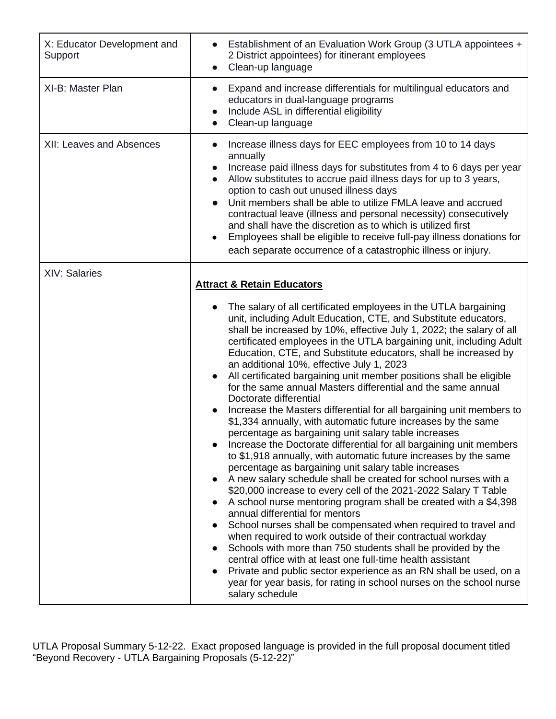| X: Educator Development and<br>Support | Establishment of an Evaluation Work Group (3 UTLA appointees +<br>2 District appointees) for itinerant employees<br>Clean-up language<br>$\bullet$                                                                                                                                                                                                                                                                                                                                                                                                                                                                                                                                                                                                                                                                                                                                                                                                                                                                                                                                                                                                                                                                                                                                                                                                                                                                                                           |
|----------------------------------------|--------------------------------------------------------------------------------------------------------------------------------------------------------------------------------------------------------------------------------------------------------------------------------------------------------------------------------------------------------------------------------------------------------------------------------------------------------------------------------------------------------------------------------------------------------------------------------------------------------------------------------------------------------------------------------------------------------------------------------------------------------------------------------------------------------------------------------------------------------------------------------------------------------------------------------------------------------------------------------------------------------------------------------------------------------------------------------------------------------------------------------------------------------------------------------------------------------------------------------------------------------------------------------------------------------------------------------------------------------------------------------------------------------------------------------------------------------------|
| XI-B: Master Plan                      | Expand and increase differentials for multilingual educators and<br>educators in dual-language programs<br>Include ASL in differential eligibility<br>Clean-up language                                                                                                                                                                                                                                                                                                                                                                                                                                                                                                                                                                                                                                                                                                                                                                                                                                                                                                                                                                                                                                                                                                                                                                                                                                                                                      |
| XII: Leaves and Absences               | Increase illness days for EEC employees from 10 to 14 days<br>annually<br>Increase paid illness days for substitutes from 4 to 6 days per year<br>Allow substitutes to accrue paid illness days for up to 3 years,<br>$\bullet$<br>option to cash out unused illness days<br>Unit members shall be able to utilize FMLA leave and accrued<br>contractual leave (illness and personal necessity) consecutively<br>and shall have the discretion as to which is utilized first<br>Employees shall be eligible to receive full-pay illness donations for<br>$\bullet$<br>each separate occurrence of a catastrophic illness or injury.                                                                                                                                                                                                                                                                                                                                                                                                                                                                                                                                                                                                                                                                                                                                                                                                                          |
| <b>XIV: Salaries</b>                   | <b>Attract &amp; Retain Educators</b><br>The salary of all certificated employees in the UTLA bargaining<br>unit, including Adult Education, CTE, and Substitute educators,<br>shall be increased by 10%, effective July 1, 2022; the salary of all<br>certificated employees in the UTLA bargaining unit, including Adult<br>Education, CTE, and Substitute educators, shall be increased by<br>an additional 10%, effective July 1, 2023<br>All certificated bargaining unit member positions shall be eligible<br>for the same annual Masters differential and the same annual<br>Doctorate differential<br>Increase the Masters differential for all bargaining unit members to<br>\$1,334 annually, with automatic future increases by the same<br>percentage as bargaining unit salary table increases<br>Increase the Doctorate differential for all bargaining unit members<br>to \$1,918 annually, with automatic future increases by the same<br>percentage as bargaining unit salary table increases<br>A new salary schedule shall be created for school nurses with a<br>\$20,000 increase to every cell of the 2021-2022 Salary T Table<br>A school nurse mentoring program shall be created with a \$4,398<br>annual differential for mentors<br>School nurses shall be compensated when required to travel and<br>when required to work outside of their contractual workday<br>Schools with more than 750 students shall be provided by the |
|                                        | central office with at least one full-time health assistant<br>Private and public sector experience as an RN shall be used, on a<br>year for year basis, for rating in school nurses on the school nurse<br>salary schedule                                                                                                                                                                                                                                                                                                                                                                                                                                                                                                                                                                                                                                                                                                                                                                                                                                                                                                                                                                                                                                                                                                                                                                                                                                  |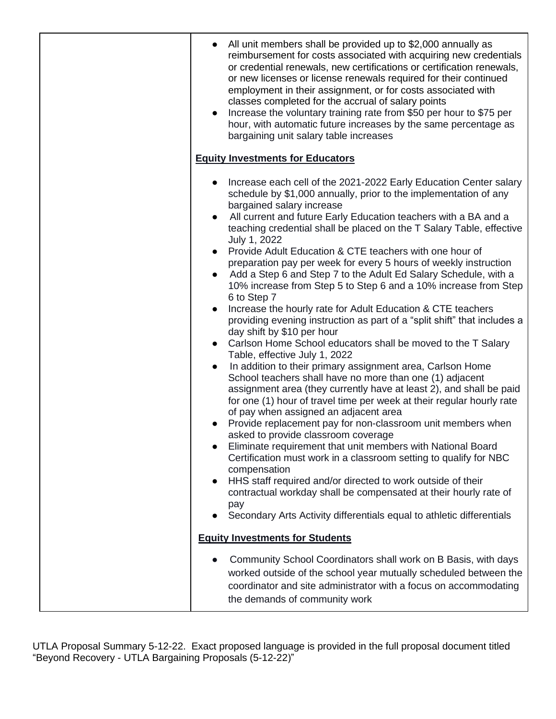| All unit members shall be provided up to \$2,000 annually as<br>reimbursement for costs associated with acquiring new credentials<br>or credential renewals, new certifications or certification renewals,<br>or new licenses or license renewals required for their continued<br>employment in their assignment, or for costs associated with<br>classes completed for the accrual of salary points<br>Increase the voluntary training rate from \$50 per hour to \$75 per<br>hour, with automatic future increases by the same percentage as<br>bargaining unit salary table increases                                                                                                                                                                                                                                                                                                                                                                                                                                                                                                                                                                                                                                                                                                                                                                                                                                                                                                                                                                                                                                                                                                                                             |
|--------------------------------------------------------------------------------------------------------------------------------------------------------------------------------------------------------------------------------------------------------------------------------------------------------------------------------------------------------------------------------------------------------------------------------------------------------------------------------------------------------------------------------------------------------------------------------------------------------------------------------------------------------------------------------------------------------------------------------------------------------------------------------------------------------------------------------------------------------------------------------------------------------------------------------------------------------------------------------------------------------------------------------------------------------------------------------------------------------------------------------------------------------------------------------------------------------------------------------------------------------------------------------------------------------------------------------------------------------------------------------------------------------------------------------------------------------------------------------------------------------------------------------------------------------------------------------------------------------------------------------------------------------------------------------------------------------------------------------------|
| <b>Equity Investments for Educators</b>                                                                                                                                                                                                                                                                                                                                                                                                                                                                                                                                                                                                                                                                                                                                                                                                                                                                                                                                                                                                                                                                                                                                                                                                                                                                                                                                                                                                                                                                                                                                                                                                                                                                                              |
| Increase each cell of the 2021-2022 Early Education Center salary<br>schedule by \$1,000 annually, prior to the implementation of any<br>bargained salary increase<br>All current and future Early Education teachers with a BA and a<br>$\bullet$<br>teaching credential shall be placed on the T Salary Table, effective<br>July 1, 2022<br>Provide Adult Education & CTE teachers with one hour of<br>preparation pay per week for every 5 hours of weekly instruction<br>Add a Step 6 and Step 7 to the Adult Ed Salary Schedule, with a<br>10% increase from Step 5 to Step 6 and a 10% increase from Step<br>6 to Step 7<br>Increase the hourly rate for Adult Education & CTE teachers<br>providing evening instruction as part of a "split shift" that includes a<br>day shift by \$10 per hour<br>• Carlson Home School educators shall be moved to the T Salary<br>Table, effective July 1, 2022<br>In addition to their primary assignment area, Carlson Home<br>$\bullet$<br>School teachers shall have no more than one (1) adjacent<br>assignment area (they currently have at least 2), and shall be paid<br>for one (1) hour of travel time per week at their regular hourly rate<br>of pay when assigned an adjacent area<br>Provide replacement pay for non-classroom unit members when<br>asked to provide classroom coverage<br>Eliminate requirement that unit members with National Board<br>Certification must work in a classroom setting to qualify for NBC<br>compensation<br>HHS staff required and/or directed to work outside of their<br>$\bullet$<br>contractual workday shall be compensated at their hourly rate of<br>pay<br>Secondary Arts Activity differentials equal to athletic differentials |
| <b>Equity Investments for Students</b>                                                                                                                                                                                                                                                                                                                                                                                                                                                                                                                                                                                                                                                                                                                                                                                                                                                                                                                                                                                                                                                                                                                                                                                                                                                                                                                                                                                                                                                                                                                                                                                                                                                                                               |
| Community School Coordinators shall work on B Basis, with days<br>worked outside of the school year mutually scheduled between the<br>coordinator and site administrator with a focus on accommodating<br>the demands of community work                                                                                                                                                                                                                                                                                                                                                                                                                                                                                                                                                                                                                                                                                                                                                                                                                                                                                                                                                                                                                                                                                                                                                                                                                                                                                                                                                                                                                                                                                              |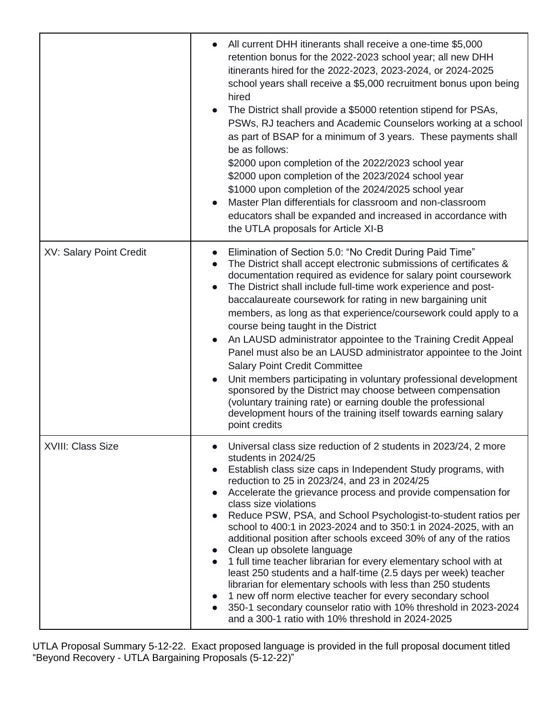|                                | All current DHH itinerants shall receive a one-time \$5,000<br>retention bonus for the 2022-2023 school year; all new DHH<br>itinerants hired for the 2022-2023, 2023-2024, or 2024-2025<br>school years shall receive a \$5,000 recruitment bonus upon being<br>hired<br>The District shall provide a \$5000 retention stipend for PSAs,<br>PSWs, RJ teachers and Academic Counselors working at a school<br>as part of BSAP for a minimum of 3 years. These payments shall<br>be as follows:<br>\$2000 upon completion of the 2022/2023 school year<br>\$2000 upon completion of the 2023/2024 school year<br>\$1000 upon completion of the 2024/2025 school year<br>Master Plan differentials for classroom and non-classroom<br>educators shall be expanded and increased in accordance with<br>the UTLA proposals for Article XI-B                                                                                                              |
|--------------------------------|------------------------------------------------------------------------------------------------------------------------------------------------------------------------------------------------------------------------------------------------------------------------------------------------------------------------------------------------------------------------------------------------------------------------------------------------------------------------------------------------------------------------------------------------------------------------------------------------------------------------------------------------------------------------------------------------------------------------------------------------------------------------------------------------------------------------------------------------------------------------------------------------------------------------------------------------------|
| <b>XV: Salary Point Credit</b> | Elimination of Section 5.0: "No Credit During Paid Time"<br>The District shall accept electronic submissions of certificates &<br>documentation required as evidence for salary point coursework<br>The District shall include full-time work experience and post-<br>baccalaureate coursework for rating in new bargaining unit<br>members, as long as that experience/coursework could apply to a<br>course being taught in the District<br>An LAUSD administrator appointee to the Training Credit Appeal<br>Panel must also be an LAUSD administrator appointee to the Joint<br><b>Salary Point Credit Committee</b><br>Unit members participating in voluntary professional development<br>sponsored by the District may choose between compensation<br>(voluntary training rate) or earning double the professional<br>development hours of the training itself towards earning salary<br>point credits                                        |
| XVIII: Class Size              | Universal class size reduction of 2 students in 2023/24, 2 more<br>students in 2024/25<br>Establish class size caps in Independent Study programs, with<br>reduction to 25 in 2023/24, and 23 in 2024/25<br>Accelerate the grievance process and provide compensation for<br>class size violations<br>Reduce PSW, PSA, and School Psychologist-to-student ratios per<br>school to 400:1 in 2023-2024 and to 350:1 in 2024-2025, with an<br>additional position after schools exceed 30% of any of the ratios<br>Clean up obsolete language<br>$\bullet$<br>1 full time teacher librarian for every elementary school with at<br>least 250 students and a half-time (2.5 days per week) teacher<br>librarian for elementary schools with less than 250 students<br>1 new off norm elective teacher for every secondary school<br>350-1 secondary counselor ratio with 10% threshold in 2023-2024<br>and a 300-1 ratio with 10% threshold in 2024-2025 |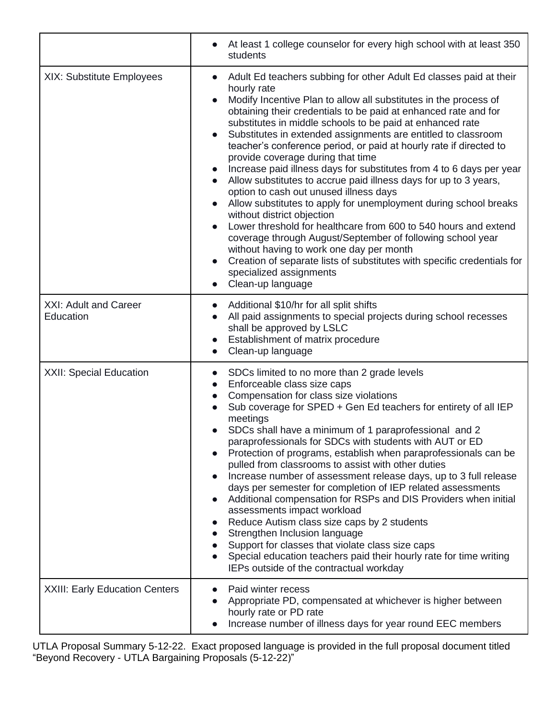|                                       | At least 1 college counselor for every high school with at least 350<br>$\bullet$<br>students                                                                                                                                                                                                                                                                                                                                                                                                                                                                                                                                                                                                                                                                                                                                                                                                                                                                                                                                                                                                                         |
|---------------------------------------|-----------------------------------------------------------------------------------------------------------------------------------------------------------------------------------------------------------------------------------------------------------------------------------------------------------------------------------------------------------------------------------------------------------------------------------------------------------------------------------------------------------------------------------------------------------------------------------------------------------------------------------------------------------------------------------------------------------------------------------------------------------------------------------------------------------------------------------------------------------------------------------------------------------------------------------------------------------------------------------------------------------------------------------------------------------------------------------------------------------------------|
| XIX: Substitute Employees             | Adult Ed teachers subbing for other Adult Ed classes paid at their<br>$\bullet$<br>hourly rate<br>Modify Incentive Plan to allow all substitutes in the process of<br>obtaining their credentials to be paid at enhanced rate and for<br>substitutes in middle schools to be paid at enhanced rate<br>Substitutes in extended assignments are entitled to classroom<br>$\bullet$<br>teacher's conference period, or paid at hourly rate if directed to<br>provide coverage during that time<br>Increase paid illness days for substitutes from 4 to 6 days per year<br>Allow substitutes to accrue paid illness days for up to 3 years,<br>$\bullet$<br>option to cash out unused illness days<br>Allow substitutes to apply for unemployment during school breaks<br>without district objection<br>Lower threshold for healthcare from 600 to 540 hours and extend<br>coverage through August/September of following school year<br>without having to work one day per month<br>Creation of separate lists of substitutes with specific credentials for<br>specialized assignments<br>Clean-up language<br>$\bullet$ |
| XXI: Adult and Career<br>Education    | Additional \$10/hr for all split shifts<br>All paid assignments to special projects during school recesses<br>$\bullet$<br>shall be approved by LSLC<br>Establishment of matrix procedure<br>$\bullet$<br>Clean-up language                                                                                                                                                                                                                                                                                                                                                                                                                                                                                                                                                                                                                                                                                                                                                                                                                                                                                           |
| <b>XXII: Special Education</b>        | SDCs limited to no more than 2 grade levels<br>Enforceable class size caps<br>$\bullet$<br>Compensation for class size violations<br>$\bullet$<br>Sub coverage for SPED + Gen Ed teachers for entirety of all IEP<br>meetings<br>SDCs shall have a minimum of 1 paraprofessional and 2<br>paraprofessionals for SDCs with students with AUT or ED<br>Protection of programs, establish when paraprofessionals can be<br>pulled from classrooms to assist with other duties<br>Increase number of assessment release days, up to 3 full release<br>$\bullet$<br>days per semester for completion of IEP related assessments<br>Additional compensation for RSPs and DIS Providers when initial<br>$\bullet$<br>assessments impact workload<br>Reduce Autism class size caps by 2 students<br>Strengthen Inclusion language<br>Support for classes that violate class size caps<br>Special education teachers paid their hourly rate for time writing<br>IEPs outside of the contractual workday                                                                                                                        |
| <b>XXIII: Early Education Centers</b> | Paid winter recess<br>Appropriate PD, compensated at whichever is higher between<br>hourly rate or PD rate<br>Increase number of illness days for year round EEC members                                                                                                                                                                                                                                                                                                                                                                                                                                                                                                                                                                                                                                                                                                                                                                                                                                                                                                                                              |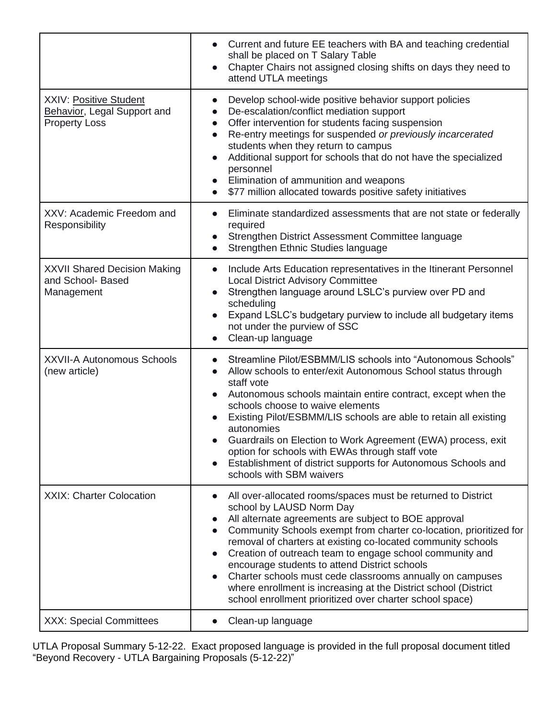|                                                                                      | Current and future EE teachers with BA and teaching credential<br>shall be placed on T Salary Table<br>Chapter Chairs not assigned closing shifts on days they need to<br>$\bullet$<br>attend UTLA meetings                                                                                                                                                                                                                                                                                                                                                                                                  |
|--------------------------------------------------------------------------------------|--------------------------------------------------------------------------------------------------------------------------------------------------------------------------------------------------------------------------------------------------------------------------------------------------------------------------------------------------------------------------------------------------------------------------------------------------------------------------------------------------------------------------------------------------------------------------------------------------------------|
| <b>XXIV: Positive Student</b><br>Behavior, Legal Support and<br><b>Property Loss</b> | Develop school-wide positive behavior support policies<br>$\bullet$<br>De-escalation/conflict mediation support<br>$\bullet$<br>Offer intervention for students facing suspension<br>$\bullet$<br>Re-entry meetings for suspended or previously incarcerated<br>$\bullet$<br>students when they return to campus<br>Additional support for schools that do not have the specialized<br>$\bullet$<br>personnel<br>Elimination of ammunition and weapons<br>\$77 million allocated towards positive safety initiatives<br>$\bullet$                                                                            |
| XXV: Academic Freedom and<br>Responsibility                                          | Eliminate standardized assessments that are not state or federally<br>$\bullet$<br>required<br>Strengthen District Assessment Committee language<br>$\bullet$<br>Strengthen Ethnic Studies language                                                                                                                                                                                                                                                                                                                                                                                                          |
| <b>XXVII Shared Decision Making</b><br>and School- Based<br>Management               | Include Arts Education representatives in the Itinerant Personnel<br>$\bullet$<br><b>Local District Advisory Committee</b><br>Strengthen language around LSLC's purview over PD and<br>$\bullet$<br>scheduling<br>Expand LSLC's budgetary purview to include all budgetary items<br>$\bullet$<br>not under the purview of SSC<br>Clean-up language                                                                                                                                                                                                                                                           |
| <b>XXVII-A Autonomous Schools</b><br>(new article)                                   | Streamline Pilot/ESBMM/LIS schools into "Autonomous Schools"<br>$\bullet$<br>Allow schools to enter/exit Autonomous School status through<br>$\bullet$<br>staff vote<br>Autonomous schools maintain entire contract, except when the<br>schools choose to waive elements<br>Existing Pilot/ESBMM/LIS schools are able to retain all existing<br>autonomies<br>Guardrails on Election to Work Agreement (EWA) process, exit<br>option for schools with EWAs through staff vote<br>Establishment of district supports for Autonomous Schools and<br>schools with SBM waivers                                   |
| <b>XXIX: Charter Colocation</b>                                                      | All over-allocated rooms/spaces must be returned to District<br>school by LAUSD Norm Day<br>All alternate agreements are subject to BOE approval<br>Community Schools exempt from charter co-location, prioritized for<br>removal of charters at existing co-located community schools<br>Creation of outreach team to engage school community and<br>encourage students to attend District schools<br>Charter schools must cede classrooms annually on campuses<br>$\bullet$<br>where enrollment is increasing at the District school (District<br>school enrollment prioritized over charter school space) |
| <b>XXX: Special Committees</b>                                                       | Clean-up language<br>$\bullet$                                                                                                                                                                                                                                                                                                                                                                                                                                                                                                                                                                               |